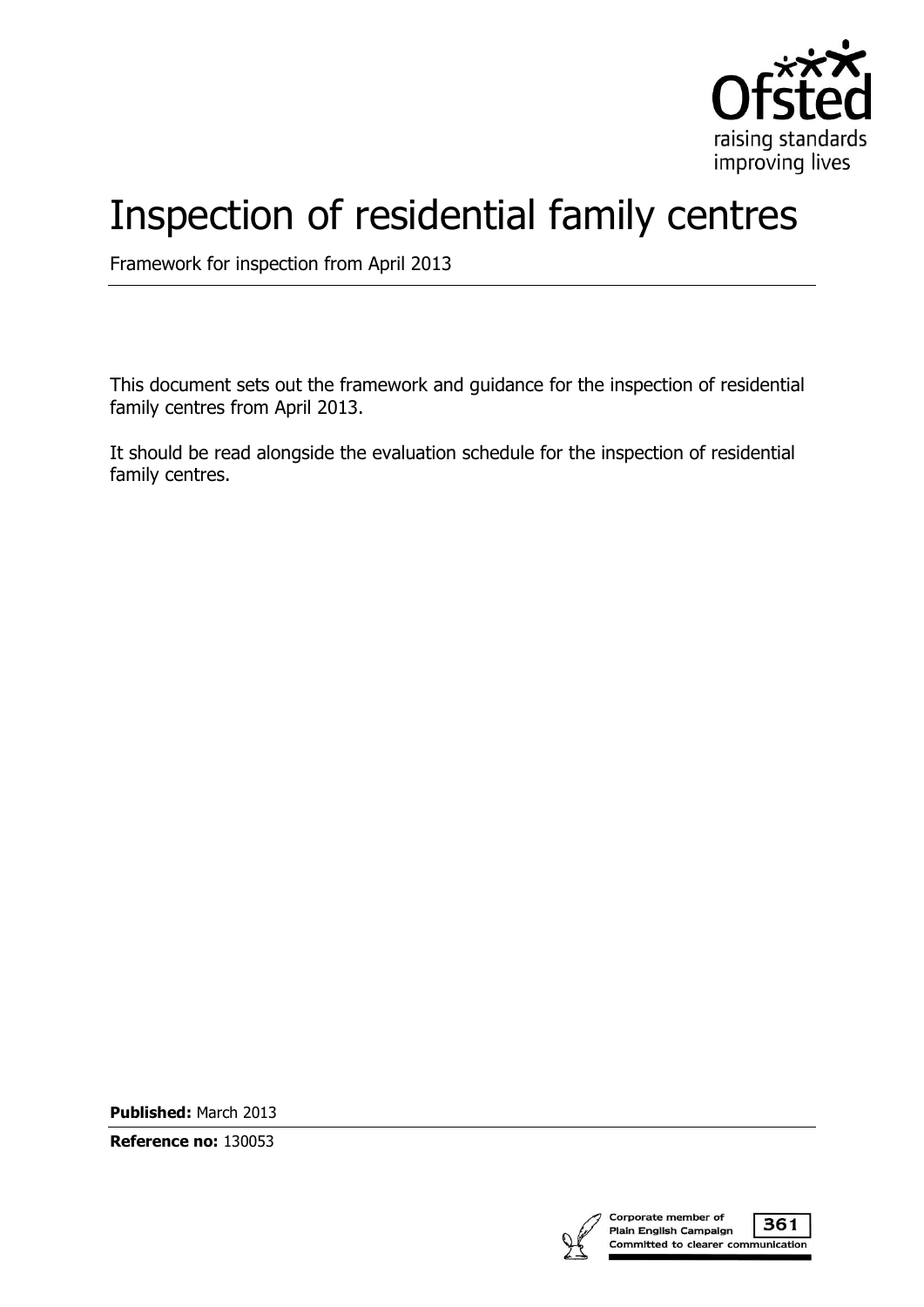

# Inspection of residential family centres

Framework for inspection from April 2013

This document sets out the framework and guidance for the inspection of residential family centres from April 2013.

It should be read alongside the evaluation schedule for the inspection of residential family centres.

**Published:** March 2013

**Reference no:** 130053

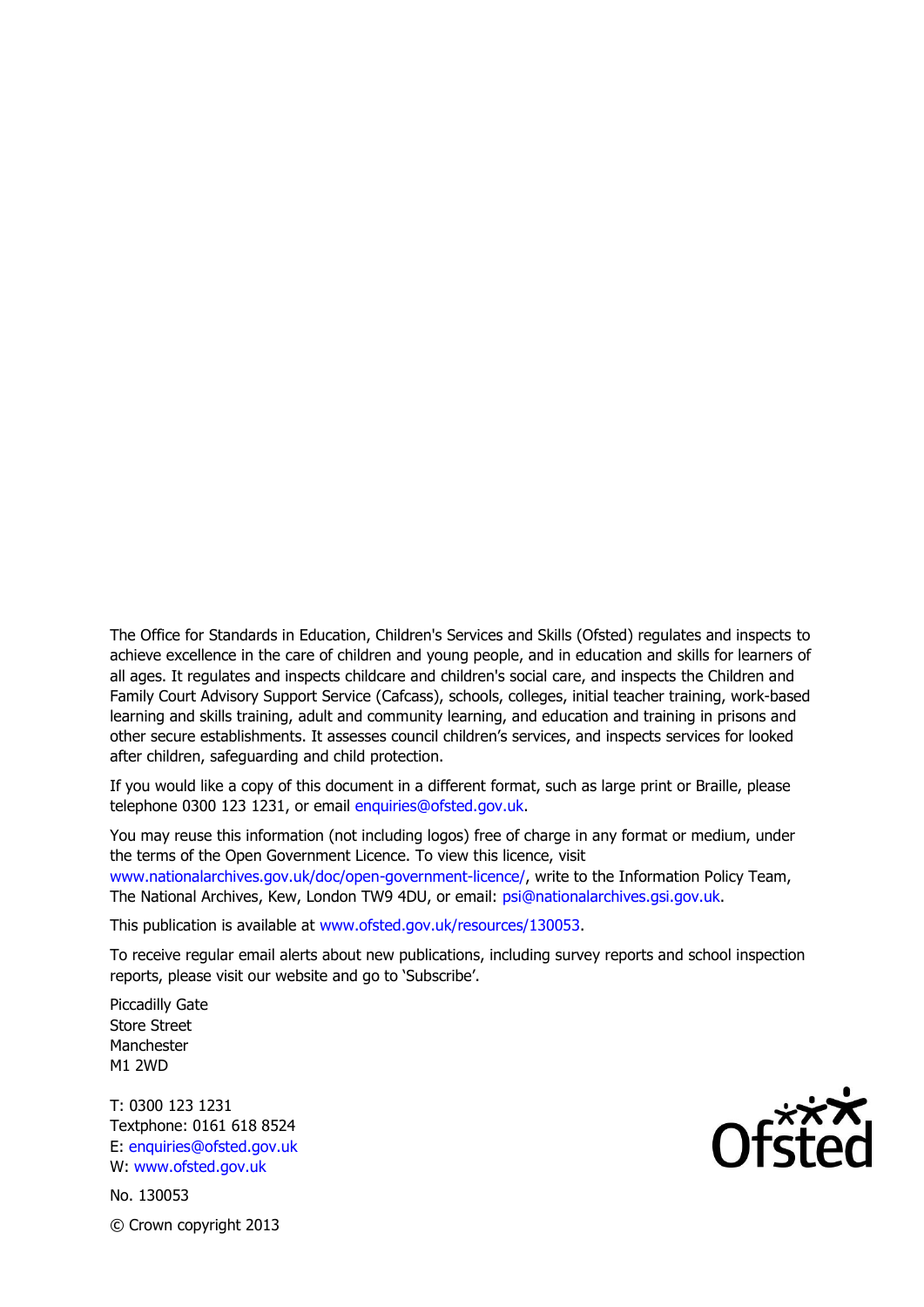The Office for Standards in Education, Children's Services and Skills (Ofsted) regulates and inspects to achieve excellence in the care of children and young people, and in education and skills for learners of all ages. It regulates and inspects childcare and children's social care, and inspects the Children and Family Court Advisory Support Service (Cafcass), schools, colleges, initial teacher training, work-based learning and skills training, adult and community learning, and education and training in prisons and other secure establishments. It assesses council children's services, and inspects services for looked after children, safeguarding and child protection.

If you would like a copy of this document in a different format, such as large print or Braille, please telephone 0300 123 1231, or email enquiries@ofsted.gov.uk.

You may reuse this information (not including logos) free of charge in any format or medium, under the terms of the Open Government Licence. To view this licence, visit www.nationalarchives.gov.uk/doc/open-government-licence/, write to the Information Policy Team, The National Archives, Kew, London TW9 4DU, or email: psi@nationalarchives.gsi.gov.uk.

This publication is available at www.ofsted.gov.uk/resources/130053.

To receive regular email alerts about new publications, including survey reports and school inspection reports, please visit our website and go to 'Subscribe'.

Piccadilly Gate Store Street Manchester M1 2WD

T: 0300 123 1231 Textphone: 0161 618 8524 E: enquiries@ofsted.gov.uk W: www.ofsted.gov.uk

No. 130053 © Crown copyright 2013

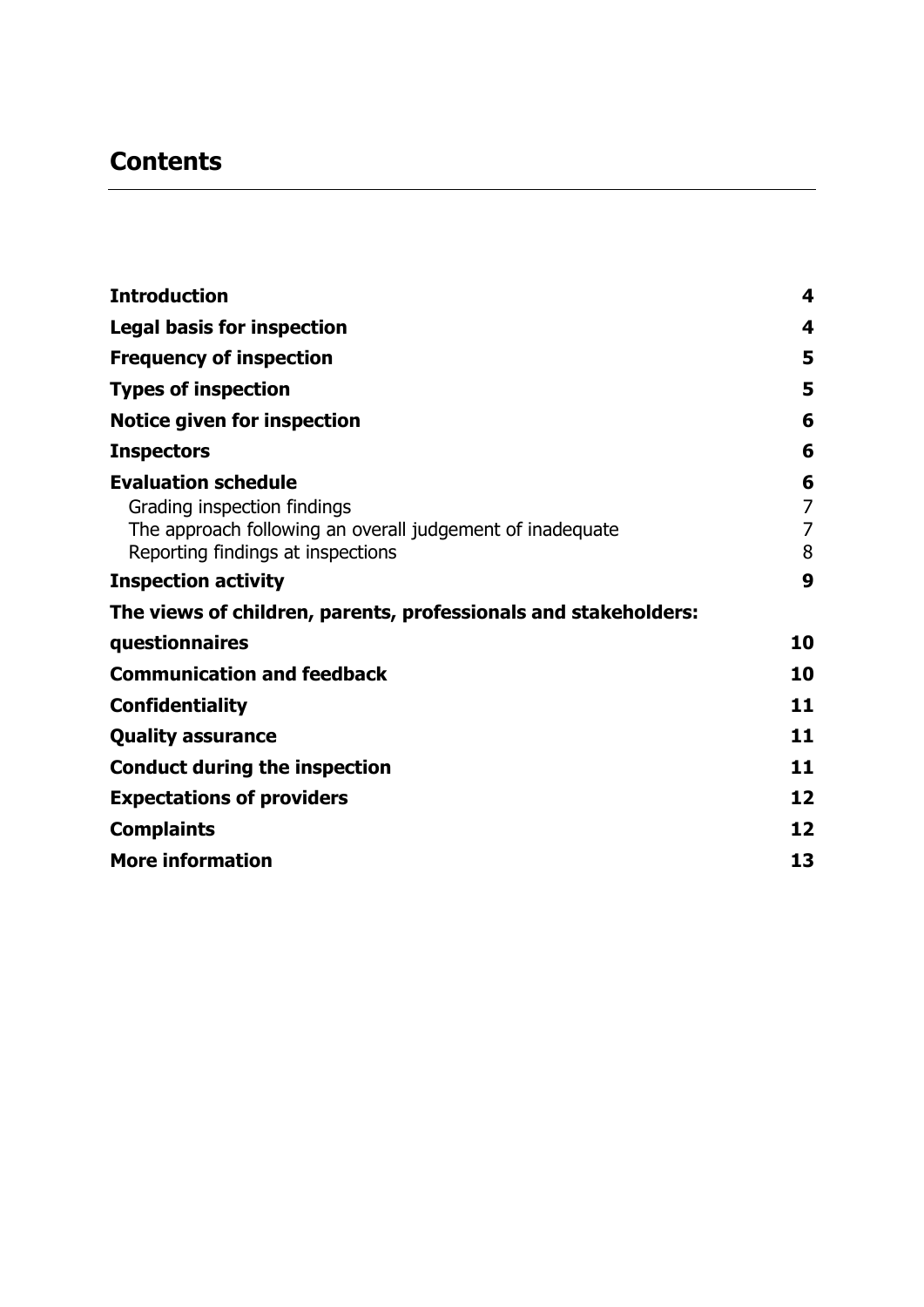# **Contents**

| <b>Introduction</b>                                                                                                                                         | 4                             |
|-------------------------------------------------------------------------------------------------------------------------------------------------------------|-------------------------------|
| <b>Legal basis for inspection</b>                                                                                                                           | 4                             |
| <b>Frequency of inspection</b>                                                                                                                              | 5                             |
| <b>Types of inspection</b>                                                                                                                                  | 5                             |
| Notice given for inspection                                                                                                                                 | 6                             |
| <b>Inspectors</b>                                                                                                                                           | 6                             |
| <b>Evaluation schedule</b><br>Grading inspection findings<br>The approach following an overall judgement of inadequate<br>Reporting findings at inspections | 6<br>$\overline{7}$<br>7<br>8 |
| <b>Inspection activity</b>                                                                                                                                  | 9                             |
| The views of children, parents, professionals and stakeholders:                                                                                             |                               |
| questionnaires                                                                                                                                              | 10                            |
| <b>Communication and feedback</b>                                                                                                                           | 10                            |
| <b>Confidentiality</b>                                                                                                                                      | 11                            |
| <b>Quality assurance</b>                                                                                                                                    | 11                            |
| <b>Conduct during the inspection</b>                                                                                                                        | 11                            |
| <b>Expectations of providers</b>                                                                                                                            | 12                            |
| <b>Complaints</b>                                                                                                                                           | 12                            |
| <b>More information</b>                                                                                                                                     | 13                            |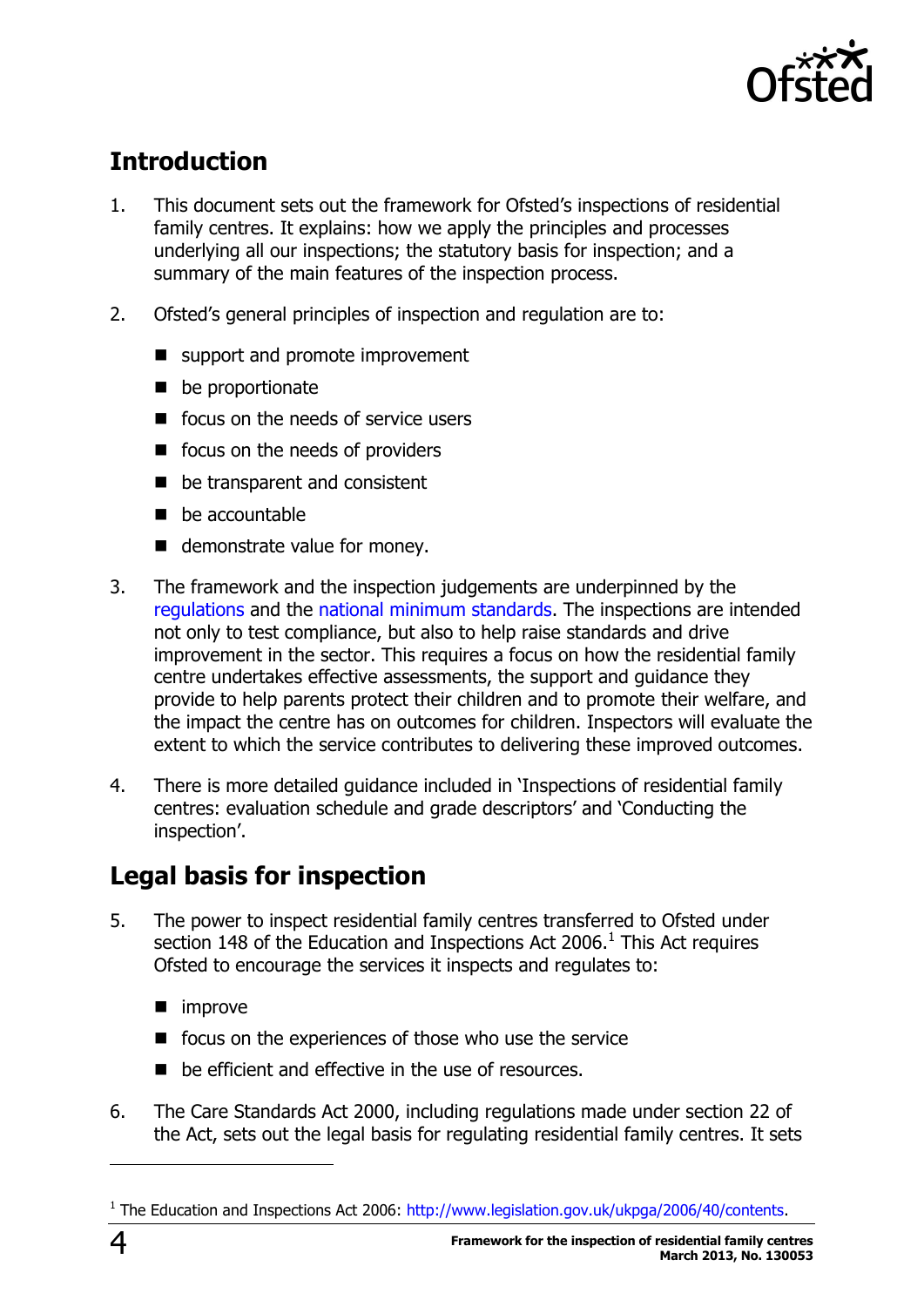

# <span id="page-3-0"></span>**Introduction**

- 1. This document sets out the framework for Ofsted's inspections of residential family centres. It explains: how we apply the principles and processes underlying all our inspections; the statutory basis for inspection; and a summary of the main features of the inspection process.
- 2. Ofsted's general principles of inspection and regulation are to:
	- support and promote improvement
	- $\blacksquare$  be proportionate
	- $\blacksquare$  focus on the needs of service users
	- focus on the needs of providers
	- be transparent and consistent
	- $\blacksquare$  be accountable
	- demonstrate value for money.
- 3. The framework and the inspection judgements are underpinned by the [regulations](http://www.legislation.gov.uk/uksi/2013/499/made) and the [national minimum standards.](http://www.education.gov.uk/childrenandyoungpeople/safeguardingchildren/a00222527/res-family-ctr-regs-and-nma) The inspections are intended not only to test compliance, but also to help raise standards and drive improvement in the sector. This requires a focus on how the residential family centre undertakes effective assessments, the support and guidance they provide to help parents protect their children and to promote their welfare, and the impact the centre has on outcomes for children. Inspectors will evaluate the extent to which the service contributes to delivering these improved outcomes.
- 4. There is more detailed guidance included in 'Inspections of residential family centres: evaluation schedule and grade descriptors' and 'Conducting the inspection'.

# <span id="page-3-1"></span>**Legal basis for inspection**

- 5. The power to inspect residential family centres transferred to Ofsted under section 148 of the Education and Inspections Act 2006. $^1$  This Act requires Ofsted to encourage the services it inspects and regulates to:
	- **n** improve
	- $\blacksquare$  focus on the experiences of those who use the service
	- be efficient and effective in the use of resources.
- 6. The Care Standards Act 2000, including regulations made under section 22 of the Act, sets out the legal basis for regulating residential family centres. It sets

j

<sup>&</sup>lt;sup>1</sup> The Education and Inspections Act 2006: [http://www.legislation.gov.uk/ukpga/2006/40/contents.](http://www.legislation.gov.uk/ukpga/2006/40/contents)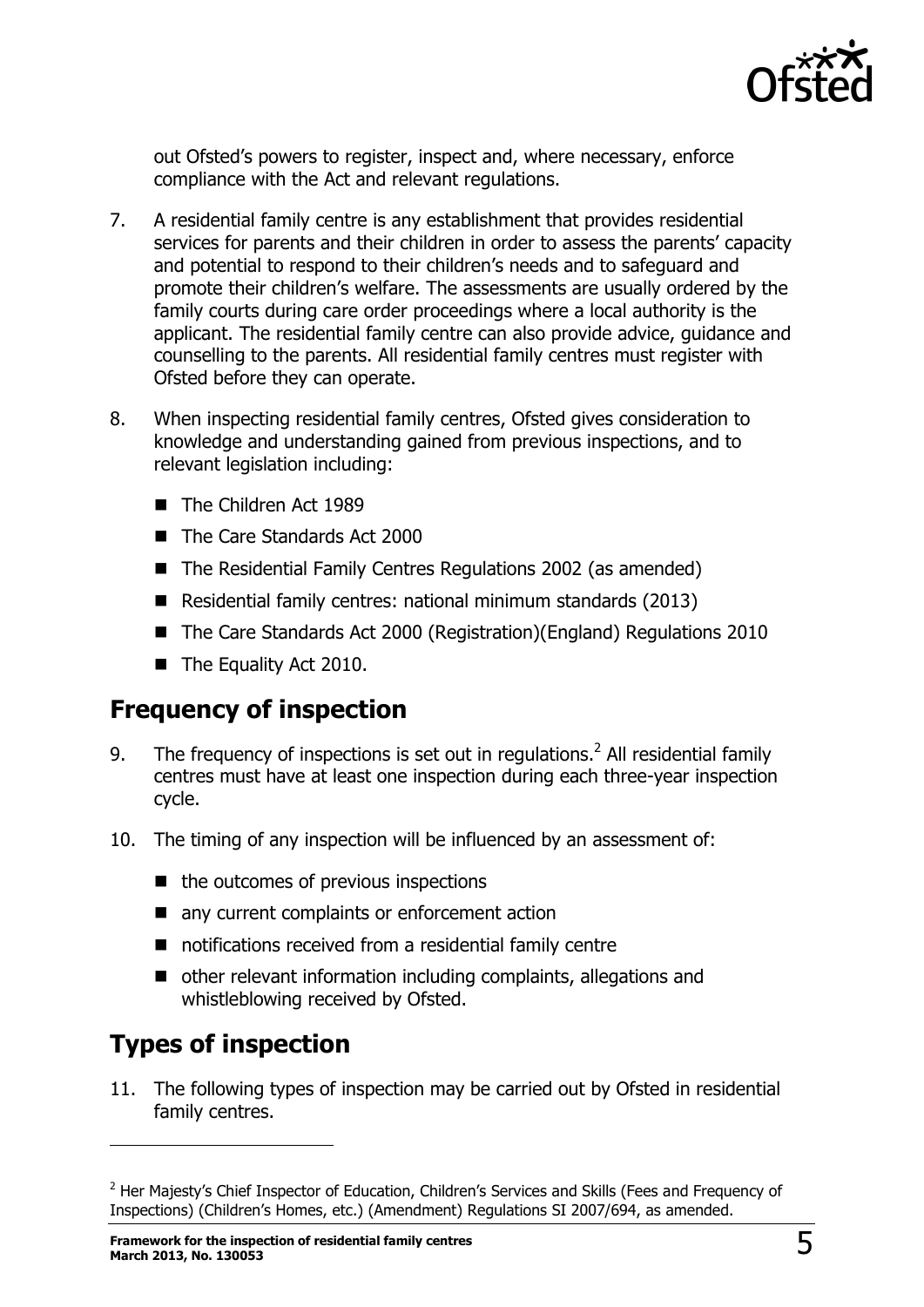

out Ofsted's powers to register, inspect and, where necessary, enforce compliance with the Act and relevant regulations.

- 7. A residential family centre is any establishment that provides residential services for parents and their children in order to assess the parents' capacity and potential to respond to their children's needs and to safeguard and promote their children's welfare. The assessments are usually ordered by the family courts during care order proceedings where a local authority is the applicant. The residential family centre can also provide advice, guidance and counselling to the parents. All residential family centres must register with Ofsted before they can operate.
- 8. When inspecting residential family centres, Ofsted gives consideration to knowledge and understanding gained from previous inspections, and to relevant legislation including:
	- The Children Act 1989
	- The Care Standards Act 2000
	- The Residential Family Centres Regulations 2002 (as amended)
	- Residential family centres: national minimum standards (2013)
	- The Care Standards Act 2000 (Registration)(England) Regulations 2010
	- The Equality Act 2010.

### <span id="page-4-0"></span>**Frequency of inspection**

- 9. The frequency of inspections is set out in regulations.<sup>2</sup> All residential family centres must have at least one inspection during each three-year inspection cycle.
- 10. The timing of any inspection will be influenced by an assessment of:
	- $\blacksquare$  the outcomes of previous inspections
	- any current complaints or enforcement action
	- notifications received from a residential family centre
	- other relevant information including complaints, allegations and whistleblowing received by Ofsted.

# <span id="page-4-1"></span>**Types of inspection**

j

11. The following types of inspection may be carried out by Ofsted in residential family centres.

<sup>&</sup>lt;sup>2</sup> Her Majesty's Chief Inspector of Education, Children's Services and Skills (Fees and Frequency of Inspections) (Children's Homes, etc.) (Amendment) Regulations SI 2007/694, as amended.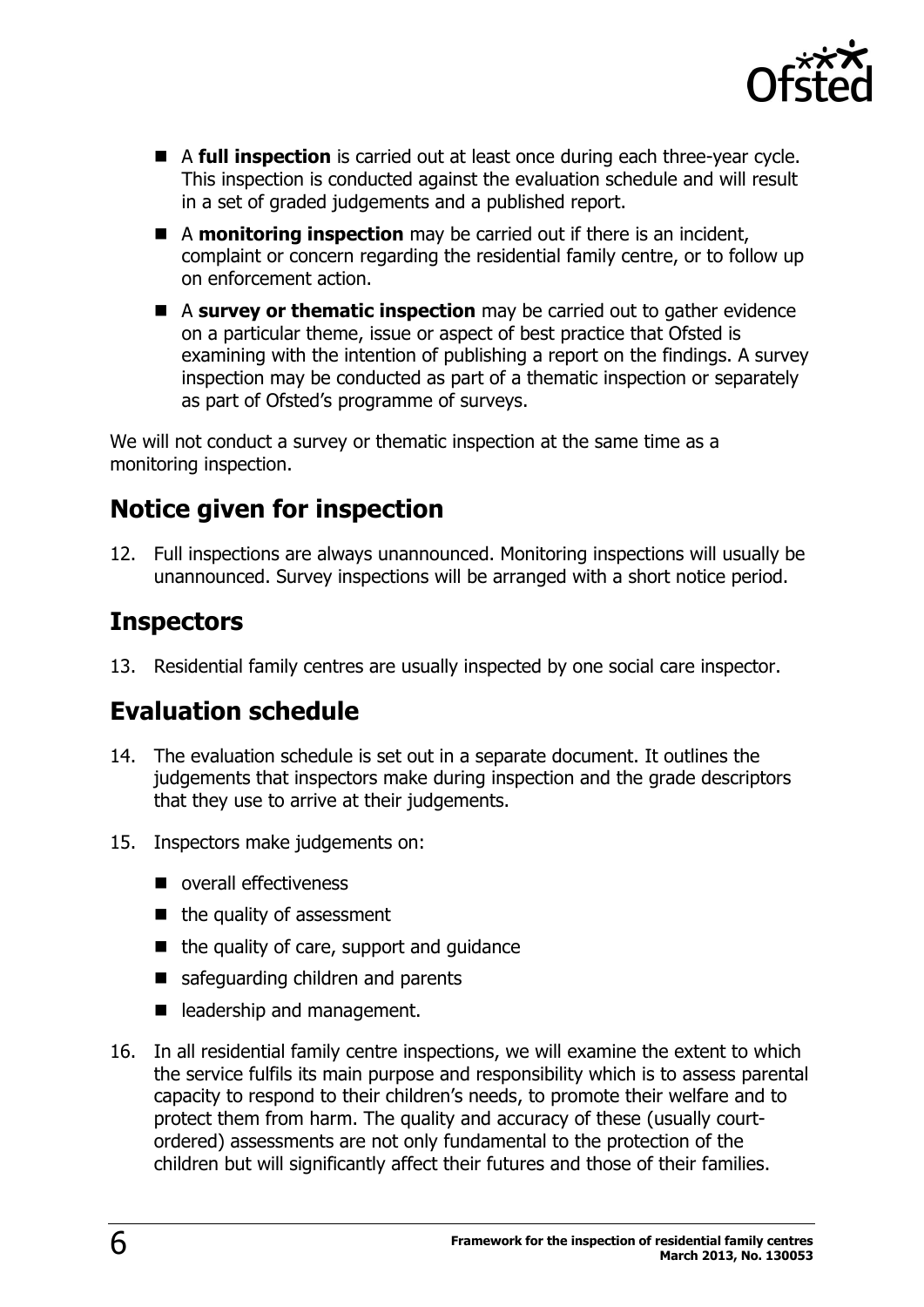

- A **full inspection** is carried out at least once during each three-year cycle. This inspection is conducted against the evaluation schedule and will result in a set of graded judgements and a published report.
- A **monitoring inspection** may be carried out if there is an incident, complaint or concern regarding the residential family centre, or to follow up on enforcement action.
- A **survey or thematic inspection** may be carried out to gather evidence on a particular theme, issue or aspect of best practice that Ofsted is examining with the intention of publishing a report on the findings. A survey inspection may be conducted as part of a thematic inspection or separately as part of Ofsted's programme of surveys.

We will not conduct a survey or thematic inspection at the same time as a monitoring inspection.

# <span id="page-5-0"></span>**Notice given for inspection**

12. Full inspections are always unannounced. Monitoring inspections will usually be unannounced. Survey inspections will be arranged with a short notice period.

### <span id="page-5-1"></span>**Inspectors**

13. Residential family centres are usually inspected by one social care inspector.

### <span id="page-5-2"></span>**Evaluation schedule**

- 14. The evaluation schedule is set out in a separate document. It outlines the judgements that inspectors make during inspection and the grade descriptors that they use to arrive at their judgements.
- 15. Inspectors make judgements on:
	- overall effectiveness
	- $\blacksquare$  the quality of assessment
	- $\blacksquare$  the quality of care, support and quidance
	- safeguarding children and parents
	- eladership and management.
- 16. In all residential family centre inspections, we will examine the extent to which the service fulfils its main purpose and responsibility which is to assess parental capacity to respond to their children's needs, to promote their welfare and to protect them from harm. The quality and accuracy of these (usually courtordered) assessments are not only fundamental to the protection of the children but will significantly affect their futures and those of their families.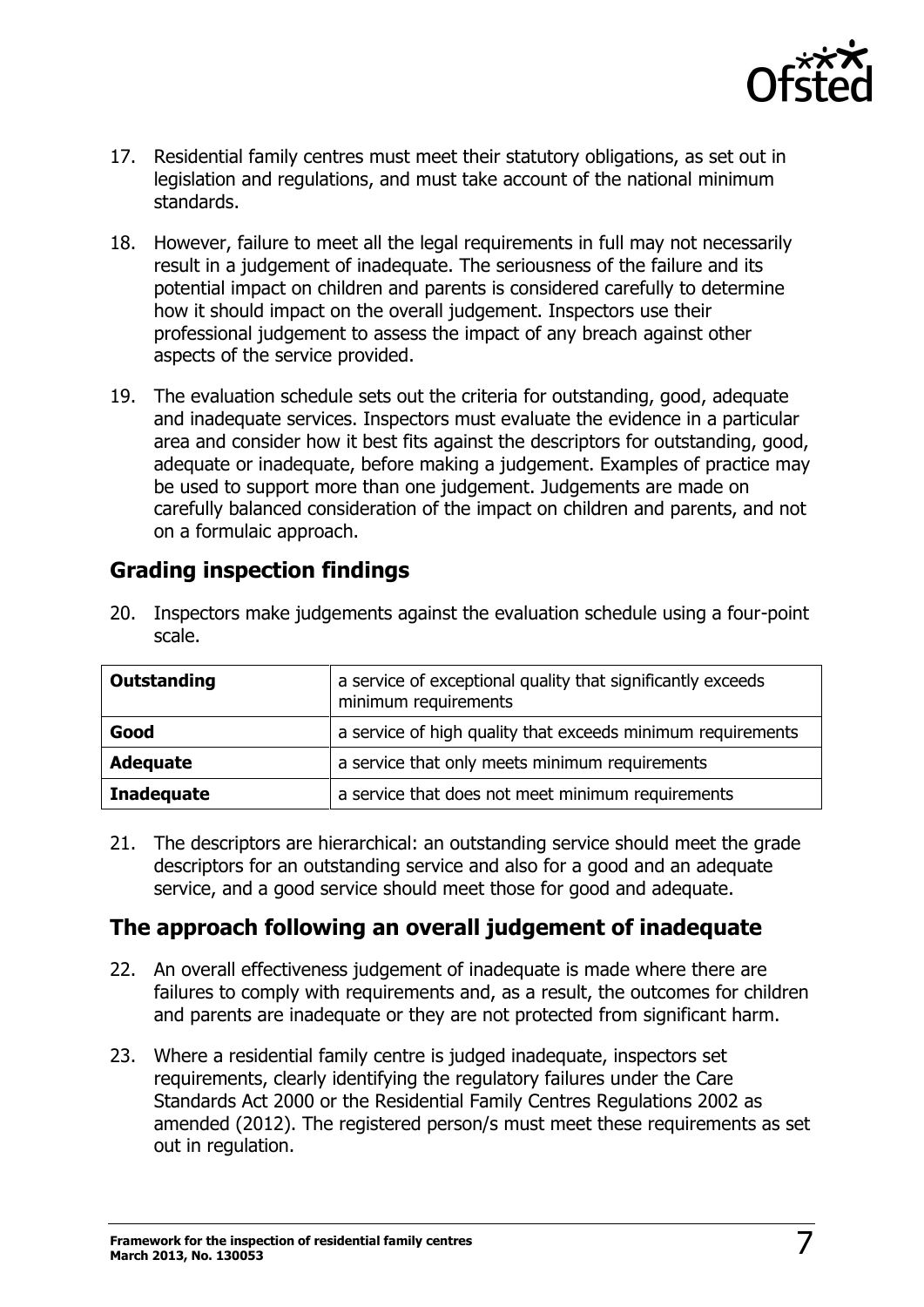

- 17. Residential family centres must meet their statutory obligations, as set out in legislation and regulations, and must take account of the national minimum standards.
- 18. However, failure to meet all the legal requirements in full may not necessarily result in a judgement of inadequate. The seriousness of the failure and its potential impact on children and parents is considered carefully to determine how it should impact on the overall judgement. Inspectors use their professional judgement to assess the impact of any breach against other aspects of the service provided.
- 19. The evaluation schedule sets out the criteria for outstanding, good, adequate and inadequate services. Inspectors must evaluate the evidence in a particular area and consider how it best fits against the descriptors for outstanding, good, adequate or inadequate, before making a judgement. Examples of practice may be used to support more than one judgement. Judgements are made on carefully balanced consideration of the impact on children and parents, and not on a formulaic approach.

### <span id="page-6-0"></span>**Grading inspection findings**

| <b>Outstanding</b> | a service of exceptional quality that significantly exceeds<br>minimum requirements |
|--------------------|-------------------------------------------------------------------------------------|
| Good               | a service of high quality that exceeds minimum requirements                         |
| <b>Adequate</b>    | a service that only meets minimum requirements                                      |
| <b>Inadequate</b>  | a service that does not meet minimum requirements                                   |

20. Inspectors make judgements against the evaluation schedule using a four-point scale.

21. The descriptors are hierarchical: an outstanding service should meet the grade descriptors for an outstanding service and also for a good and an adequate service, and a good service should meet those for good and adequate.

### <span id="page-6-1"></span>**The approach following an overall judgement of inadequate**

- 22. An overall effectiveness judgement of inadequate is made where there are failures to comply with requirements and, as a result, the outcomes for children and parents are inadequate or they are not protected from significant harm.
- 23. Where a residential family centre is judged inadequate, inspectors set requirements, clearly identifying the regulatory failures under the Care Standards Act 2000 or the Residential Family Centres Regulations 2002 as amended (2012). The registered person/s must meet these requirements as set out in regulation.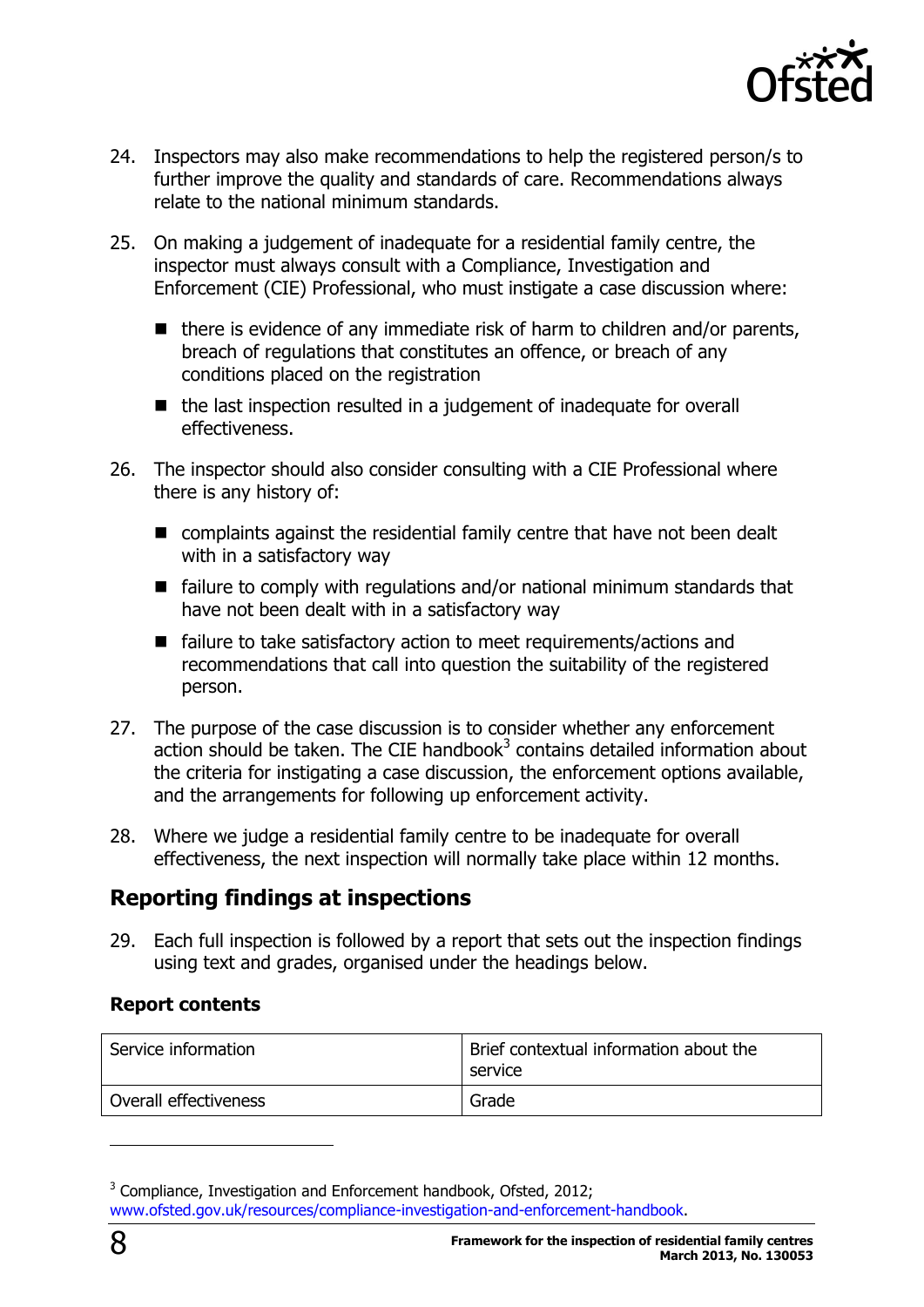

- 24. Inspectors may also make recommendations to help the registered person/s to further improve the quality and standards of care. Recommendations always relate to the national minimum standards.
- 25. On making a judgement of inadequate for a residential family centre, the inspector must always consult with a Compliance, Investigation and Enforcement (CIE) Professional, who must instigate a case discussion where:
	- $\blacksquare$  there is evidence of any immediate risk of harm to children and/or parents, breach of regulations that constitutes an offence, or breach of any conditions placed on the registration
	- the last inspection resulted in a judgement of inadequate for overall effectiveness.
- 26. The inspector should also consider consulting with a CIE Professional where there is any history of:
	- complaints against the residential family centre that have not been dealt with in a satisfactory way
	- $\blacksquare$  failure to comply with regulations and/or national minimum standards that have not been dealt with in a satisfactory way
	- failure to take satisfactory action to meet requirements/actions and recommendations that call into question the suitability of the registered person.
- 27. The purpose of the case discussion is to consider whether any enforcement action should be taken. The CIE handbook $3$  contains detailed information about the criteria for instigating a case discussion, the enforcement options available, and the arrangements for following up enforcement activity.
- 28. Where we judge a residential family centre to be inadequate for overall effectiveness, the next inspection will normally take place within 12 months.

### <span id="page-7-0"></span>**Reporting findings at inspections**

29. Each full inspection is followed by a report that sets out the inspection findings using text and grades, organised under the headings below.

#### **Report contents**

| Service information   | Brief contextual information about the<br>service |
|-----------------------|---------------------------------------------------|
| Overall effectiveness | Grade                                             |

 $3$  Compliance, Investigation and Enforcement handbook, Ofsted, 2012; [www.ofsted.gov.uk/resources/compliance-investigation-and-enforcement-handbook.](http://www.ofsted.gov.uk/resources/compliance-investigation-and-enforcement-handbook)

j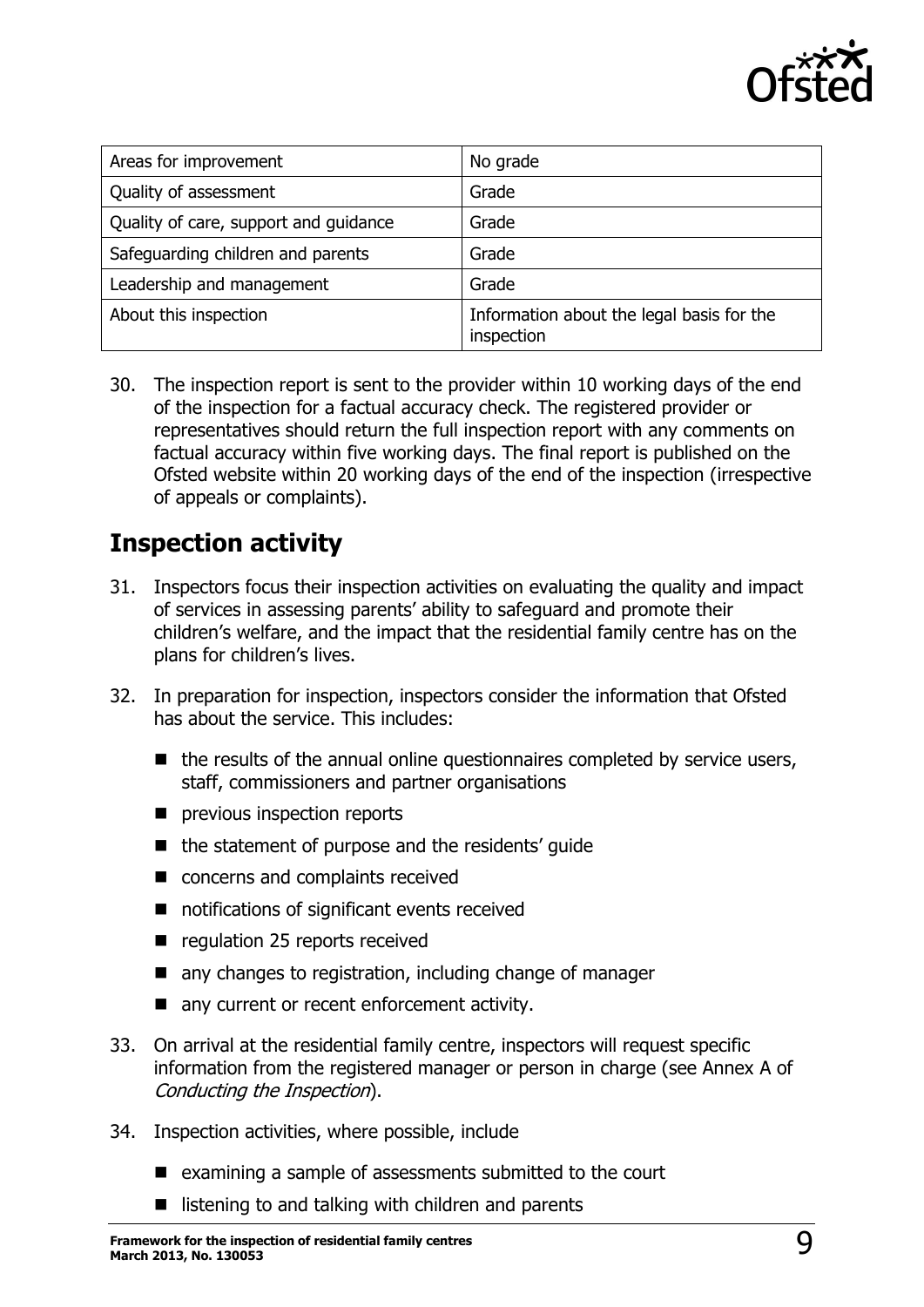

| Areas for improvement                 | No grade                                                |
|---------------------------------------|---------------------------------------------------------|
| Quality of assessment                 | Grade                                                   |
| Quality of care, support and guidance | Grade                                                   |
| Safeguarding children and parents     | Grade                                                   |
| Leadership and management             | Grade                                                   |
| About this inspection                 | Information about the legal basis for the<br>inspection |

30. The inspection report is sent to the provider within 10 working days of the end of the inspection for a factual accuracy check. The registered provider or representatives should return the full inspection report with any comments on factual accuracy within five working days. The final report is published on the Ofsted website within 20 working days of the end of the inspection (irrespective of appeals or complaints).

### <span id="page-8-0"></span>**Inspection activity**

- 31. Inspectors focus their inspection activities on evaluating the quality and impact of services in assessing parents' ability to safeguard and promote their children's welfare, and the impact that the residential family centre has on the plans for children's lives.
- 32. In preparation for inspection, inspectors consider the information that Ofsted has about the service. This includes:
	- $\blacksquare$  the results of the annual online questionnaires completed by service users, staff, commissioners and partner organisations
	- **P** previous inspection reports
	- the statement of purpose and the residents' quide
	- concerns and complaints received
	- notifications of significant events received
	- e regulation 25 reports received
	- any changes to registration, including change of manager
	- any current or recent enforcement activity.
- 33. On arrival at the residential family centre, inspectors will request specific information from the registered manager or person in charge (see Annex A of Conducting the Inspection).
- 34. Inspection activities, where possible, include
	- $\blacksquare$  examining a sample of assessments submitted to the court
	- $\blacksquare$  listening to and talking with children and parents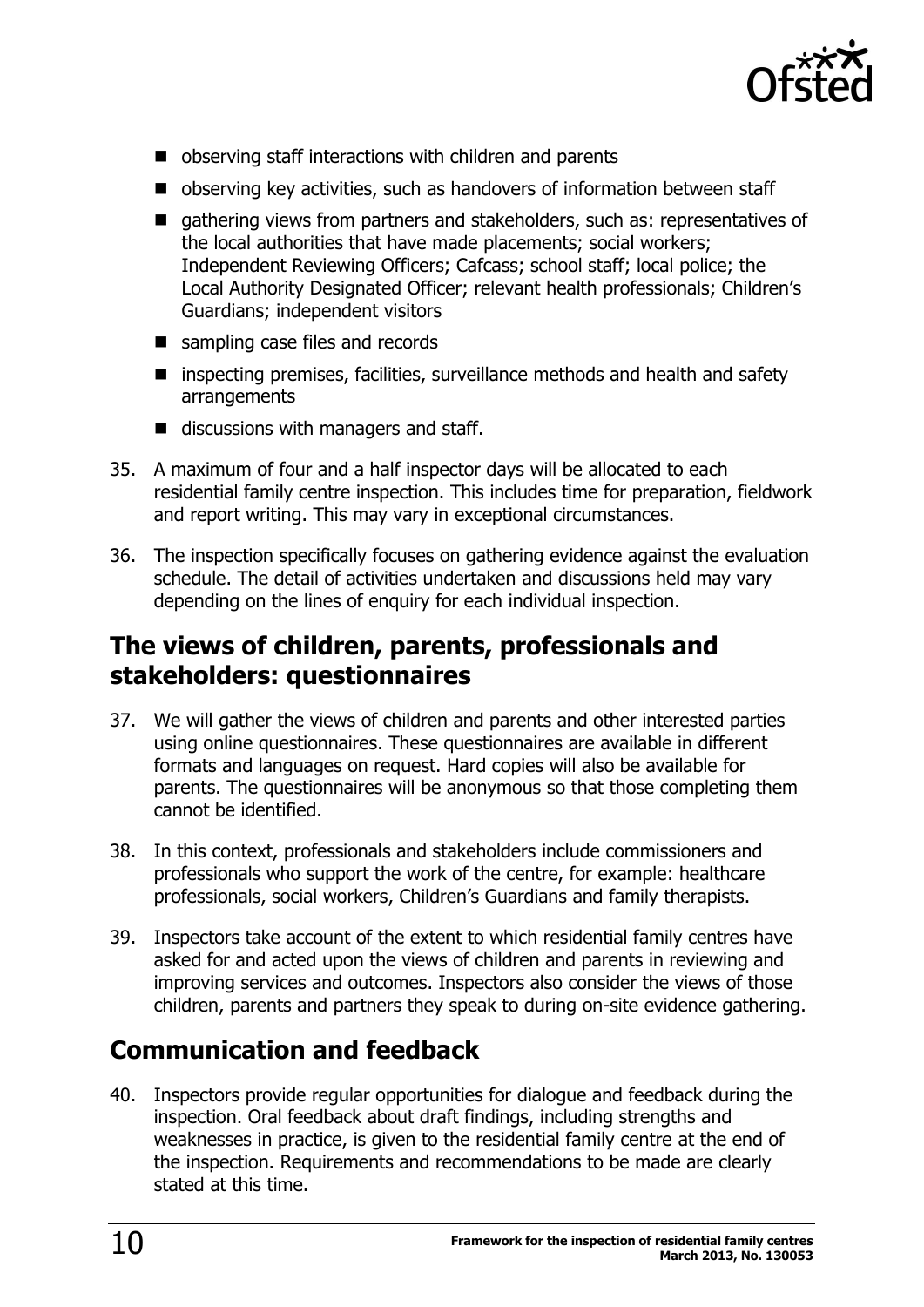

- observing staff interactions with children and parents
- observing key activities, such as handovers of information between staff
- qathering views from partners and stakeholders, such as: representatives of the local authorities that have made placements; social workers; Independent Reviewing Officers; Cafcass; school staff; local police; the Local Authority Designated Officer; relevant health professionals; Children's Guardians; independent visitors
- sampling case files and records
- inspecting premises, facilities, surveillance methods and health and safety arrangements
- discussions with managers and staff.
- 35. A maximum of four and a half inspector days will be allocated to each residential family centre inspection. This includes time for preparation, fieldwork and report writing. This may vary in exceptional circumstances.
- 36. The inspection specifically focuses on gathering evidence against the evaluation schedule. The detail of activities undertaken and discussions held may vary depending on the lines of enquiry for each individual inspection.

### <span id="page-9-0"></span>**The views of children, parents, professionals and stakeholders: questionnaires**

- 37. We will gather the views of children and parents and other interested parties using online questionnaires. These questionnaires are available in different formats and languages on request. Hard copies will also be available for parents. The questionnaires will be anonymous so that those completing them cannot be identified.
- 38. In this context, professionals and stakeholders include commissioners and professionals who support the work of the centre, for example: healthcare professionals, social workers, Children's Guardians and family therapists.
- 39. Inspectors take account of the extent to which residential family centres have asked for and acted upon the views of children and parents in reviewing and improving services and outcomes. Inspectors also consider the views of those children, parents and partners they speak to during on-site evidence gathering.

### <span id="page-9-1"></span>**Communication and feedback**

40. Inspectors provide regular opportunities for dialogue and feedback during the inspection. Oral feedback about draft findings, including strengths and weaknesses in practice, is given to the residential family centre at the end of the inspection. Requirements and recommendations to be made are clearly stated at this time.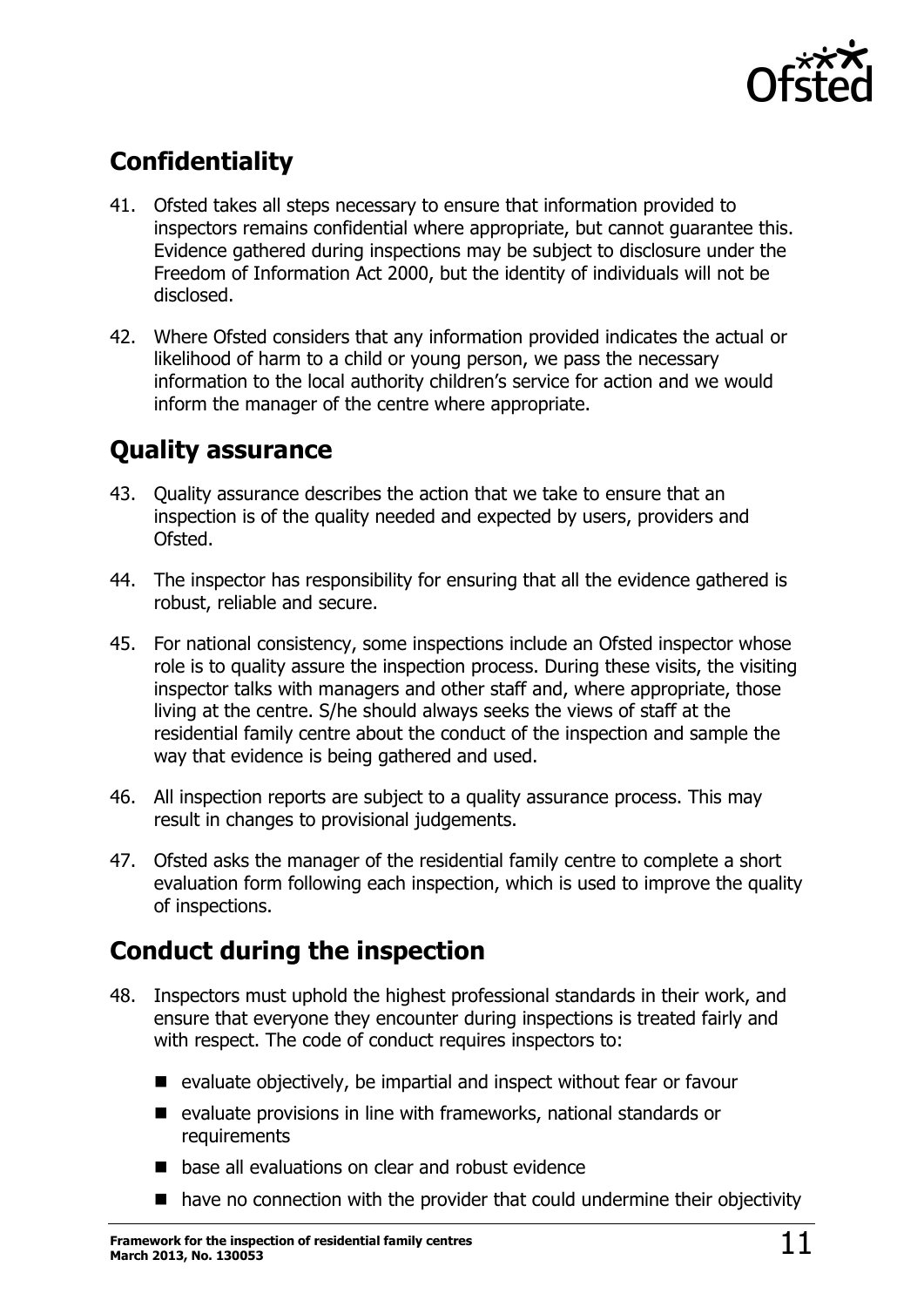

# <span id="page-10-0"></span>**Confidentiality**

- 41. Ofsted takes all steps necessary to ensure that information provided to inspectors remains confidential where appropriate, but cannot guarantee this. Evidence gathered during inspections may be subject to disclosure under the Freedom of Information Act 2000, but the identity of individuals will not be disclosed.
- 42. Where Ofsted considers that any information provided indicates the actual or likelihood of harm to a child or young person, we pass the necessary information to the local authority children's service for action and we would inform the manager of the centre where appropriate.

### <span id="page-10-1"></span>**Quality assurance**

- 43. Quality assurance describes the action that we take to ensure that an inspection is of the quality needed and expected by users, providers and Ofsted.
- 44. The inspector has responsibility for ensuring that all the evidence gathered is robust, reliable and secure.
- 45. For national consistency, some inspections include an Ofsted inspector whose role is to quality assure the inspection process. During these visits, the visiting inspector talks with managers and other staff and, where appropriate, those living at the centre. S/he should always seeks the views of staff at the residential family centre about the conduct of the inspection and sample the way that evidence is being gathered and used.
- 46. All inspection reports are subject to a quality assurance process. This may result in changes to provisional judgements.
- 47. Ofsted asks the manager of the residential family centre to complete a short evaluation form following each inspection, which is used to improve the quality of inspections.

# <span id="page-10-2"></span>**Conduct during the inspection**

- 48. Inspectors must uphold the highest professional standards in their work, and ensure that everyone they encounter during inspections is treated fairly and with respect. The code of conduct requires inspectors to:
	- $\blacksquare$  evaluate objectively, be impartial and inspect without fear or favour
	- $\blacksquare$  evaluate provisions in line with frameworks, national standards or **requirements**
	- base all evaluations on clear and robust evidence
	- have no connection with the provider that could undermine their objectivity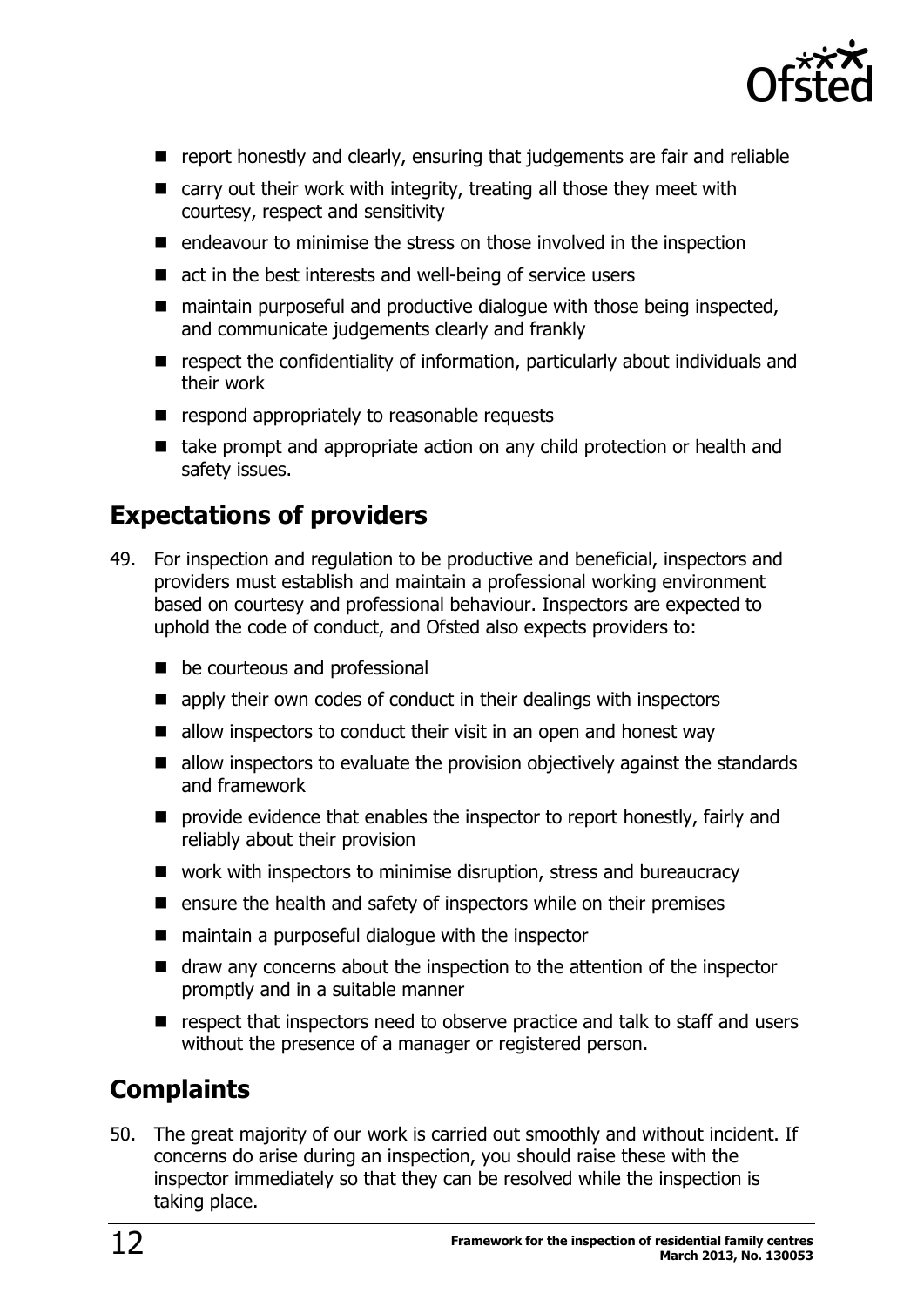

- **P** report honestly and clearly, ensuring that judgements are fair and reliable
- $\blacksquare$  carry out their work with integrity, treating all those they meet with courtesy, respect and sensitivity
- $\blacksquare$  endeavour to minimise the stress on those involved in the inspection
- $\blacksquare$  act in the best interests and well-being of service users
- $\blacksquare$  maintain purposeful and productive dialogue with those being inspected, and communicate judgements clearly and frankly
- respect the confidentiality of information, particularly about individuals and their work
- $\blacksquare$  respond appropriately to reasonable requests
- take prompt and appropriate action on any child protection or health and safety issues.

### <span id="page-11-0"></span>**Expectations of providers**

- 49. For inspection and regulation to be productive and beneficial, inspectors and providers must establish and maintain a professional working environment based on courtesy and professional behaviour. Inspectors are expected to uphold the code of conduct, and Ofsted also expects providers to:
	- be courteous and professional
	- **E** apply their own codes of conduct in their dealings with inspectors
	- $\blacksquare$  allow inspectors to conduct their visit in an open and honest way
	- allow inspectors to evaluate the provision objectively against the standards and framework
	- **P** provide evidence that enables the inspector to report honestly, fairly and reliably about their provision
	- work with inspectors to minimise disruption, stress and bureaucracy
	- $\blacksquare$  ensure the health and safety of inspectors while on their premises
	- $\blacksquare$  maintain a purposeful dialogue with the inspector
	- draw any concerns about the inspection to the attention of the inspector promptly and in a suitable manner
	- respect that inspectors need to observe practice and talk to staff and users without the presence of a manager or registered person.

### <span id="page-11-1"></span>**Complaints**

50. The great majority of our work is carried out smoothly and without incident. If concerns do arise during an inspection, you should raise these with the inspector immediately so that they can be resolved while the inspection is taking place.